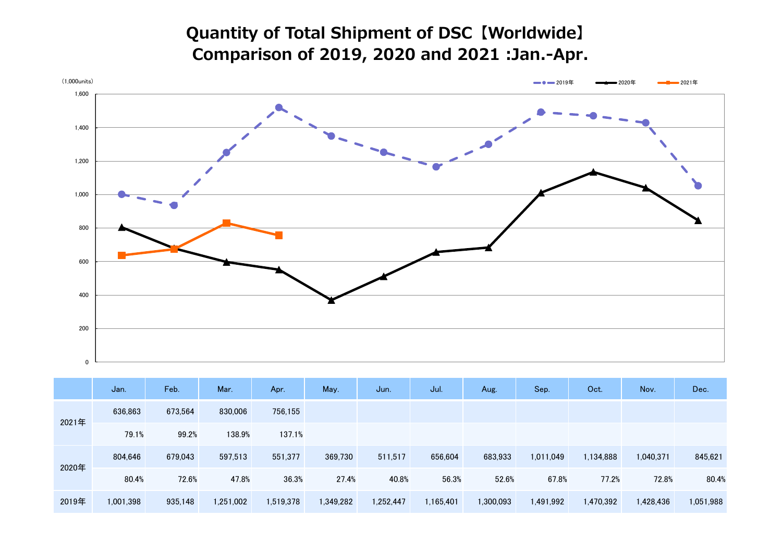## **Quantity of Total Shipment of DSC【Worldwide】 Comparison of 2019, 2020 and 2021 :Jan.-Apr.**



|       | Jan.      | Feb.    | Mar.      | Apr.      | May.      | Jun.      | Jul.      | Aug.      | Sep.      | Oct.      | Nov.      | Dec.      |
|-------|-----------|---------|-----------|-----------|-----------|-----------|-----------|-----------|-----------|-----------|-----------|-----------|
| 2021年 | 636,863   | 673,564 | 830,006   | 756,155   |           |           |           |           |           |           |           |           |
|       | 79.1%     | 99.2%   | 138.9%    | 137.1%    |           |           |           |           |           |           |           |           |
| 2020年 | 804,646   | 679,043 | 597,513   | 551,377   | 369,730   | 511,517   | 656,604   | 683,933   | 1,011,049 | 1,134,888 | 1,040,371 | 845,621   |
|       | 80.4%     | 72.6%   | 47.8%     | 36.3%     | 27.4%     | 40.8%     | 56.3%     | 52.6%     | 67.8%     | 77.2%     | 72.8%     | 80.4%     |
| 2019年 | 1,001,398 | 935,148 | 1,251,002 | 1,519,378 | 1,349,282 | 1,252,447 | 1,165,401 | 1,300,093 | 1,491,992 | 1,470,392 | 1,428,436 | 1,051,988 |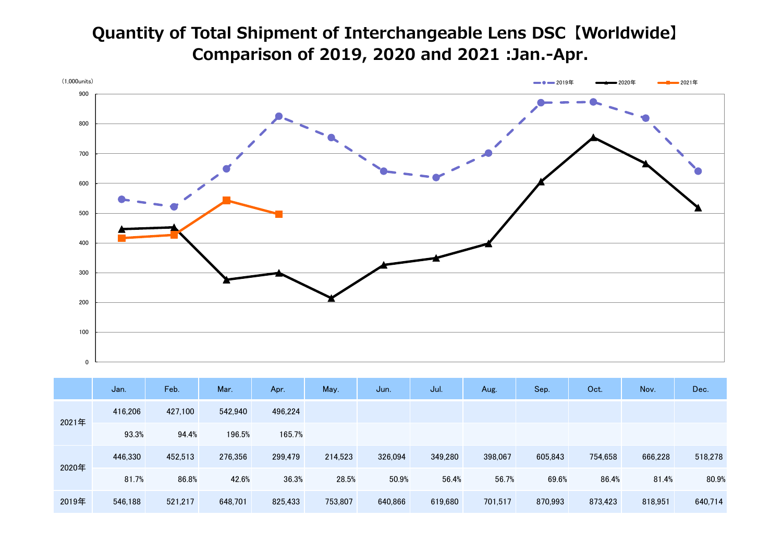## **Quantity of Total Shipment of Interchangeable Lens DSC【Worldwide】 Comparison of 2019, 2020 and 2021 :Jan.-Apr.**



|       | Jan.    | Feb.    | Mar.    | Apr.    | May.    | Jun.    | Jul.    | Aug.    | Sep.    | Oct.    | Nov.    | Dec.    |
|-------|---------|---------|---------|---------|---------|---------|---------|---------|---------|---------|---------|---------|
| 2021年 | 416,206 | 427,100 | 542.940 | 496,224 |         |         |         |         |         |         |         |         |
|       | 93.3%   | 94.4%   | 196.5%  | 165.7%  |         |         |         |         |         |         |         |         |
| 2020年 | 446,330 | 452,513 | 276,356 | 299,479 | 214,523 | 326,094 | 349,280 | 398,067 | 605,843 | 754,658 | 666,228 | 518,278 |
|       | 81.7%   | 86.8%   | 42.6%   | 36.3%   | 28.5%   | 50.9%   | 56.4%   | 56.7%   | 69.6%   | 86.4%   | 81.4%   | 80.9%   |
| 2019年 | 546,188 | 521,217 | 648,701 | 825,433 | 753,807 | 640,866 | 619,680 | 701,517 | 870,993 | 873,423 | 818,951 | 640,714 |